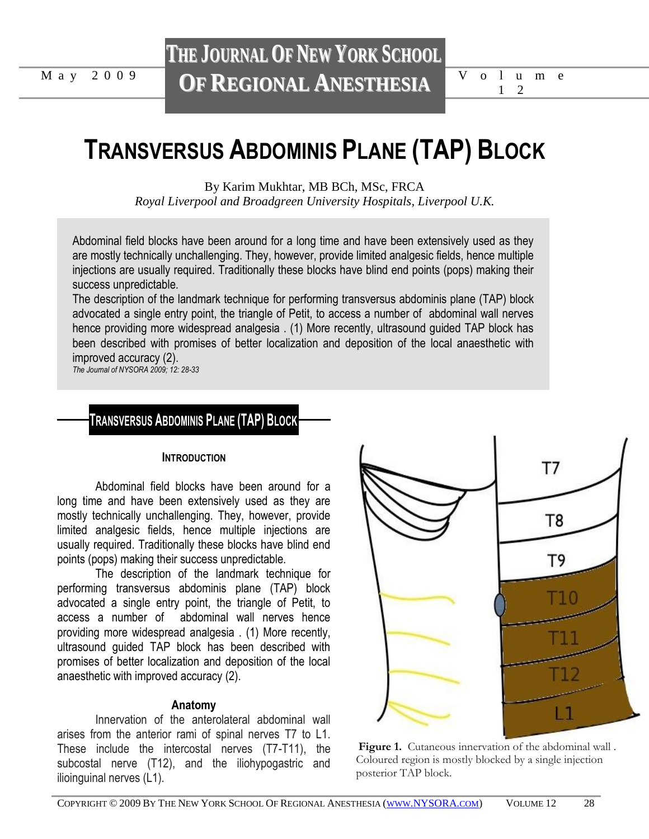# **THE JOURNAL OF NEW YORK SCHOOL OF REGIONAL ANESTHESIA** M a y 2 0 0 9 V o l u m e

1 2

# **TRANSVERSUS ABDOMINIS PLANE (TAP) BLOCK**

By Karim Mukhtar, MB BCh, MSc, FRCA

*Royal Liverpool and Broadgreen University Hospitals, Liverpool U.K.*

Abdominal field blocks have been around for a long time and have been extensively used as they are mostly technically unchallenging. They, however, provide limited analgesic fields, hence multiple injections are usually required. Traditionally these blocks have blind end points (pops) making their success unpredictable.

The description of the landmark technique for performing transversus abdominis plane (TAP) block advocated a single entry point, the triangle of Petit, to access a number of abdominal wall nerves hence providing more widespread analgesia . (1) More recently, ultrasound guided TAP block has been described with promises of better localization and deposition of the local anaesthetic with improved accuracy (2).

*The Journal of NYSORA 2009; 12: 28-33*

# **TRANSVERSUS ABDOMINIS PLANE (TAP) BLOCK**

#### **INTRODUCTION**

Abdominal field blocks have been around for a long time and have been extensively used as they are mostly technically unchallenging. They, however, provide limited analgesic fields, hence multiple injections are usually required. Traditionally these blocks have blind end points (pops) making their success unpredictable.

The description of the landmark technique for performing transversus abdominis plane (TAP) block advocated a single entry point, the triangle of Petit, to access a number of abdominal wall nerves hence providing more widespread analgesia . (1) More recently, ultrasound guided TAP block has been described with promises of better localization and deposition of the local anaesthetic with improved accuracy (2).

### **Anatomy**

Innervation of the anterolateral abdominal wall arises from the anterior rami of spinal nerves T7 to L1. These include the intercostal nerves (T7-T11), the subcostal nerve (T12), and the iliohypogastric and ilioinguinal nerves (L1).



Figure 1. Cutaneous innervation of the abdominal wall. Coloured region is mostly blocked by a single injection posterior TAP block.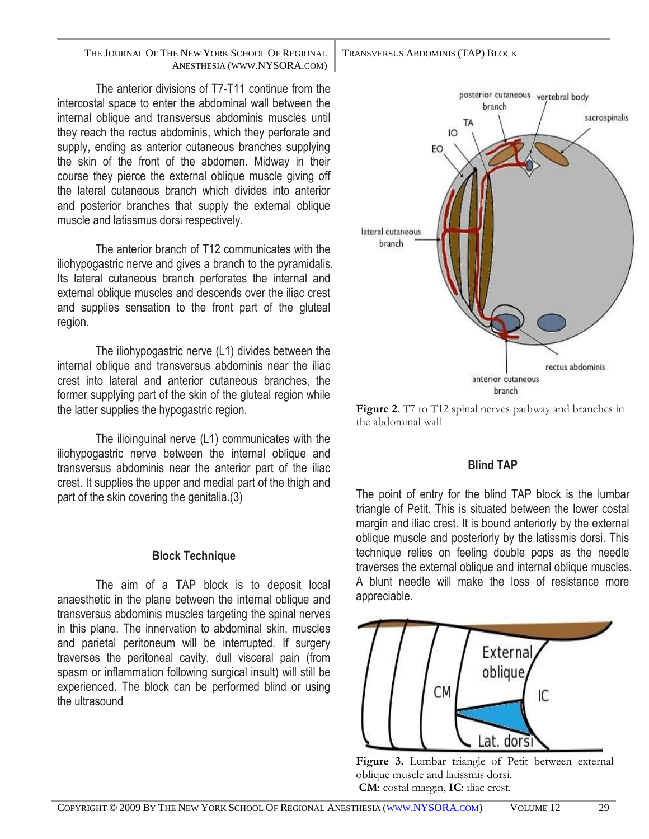#### TRANSVERSUS ABDOMINIS (TAP) BLOCK

THE JOURNAL OF THE NEW YORK SCHOOL OF REGIONAL ANESTHESIA (WWW.NYSORA.COM)

The anterior divisions of T7-T11 continue from the intercostal space to enter the abdominal wall between the internal oblique and transversus abdominis muscles until they reach the rectus abdominis, which they perforate and supply, ending as anterior cutaneous branches supplying the skin of the front of the abdomen. Midway in their course they pierce the external oblique muscle giving off the lateral cutaneous branch which divides into anterior and posterior branches that supply the external oblique muscle and latissmus dorsi respectively.

The anterior branch of T12 communicates with the iliohypogastric nerve and gives a branch to the pyramidalis. Its lateral cutaneous branch perforates the internal and external oblique muscles and descends over the iliac crest and supplies sensation to the front part of the gluteal region.

The iliohypogastric nerve (L1) divides between the internal oblique and transversus abdominis near the iliac crest into lateral and anterior cutaneous branches, the former supplying part of the skin of the gluteal region while the latter supplies the hypogastric region.

The ilioinguinal nerve (L1) communicates with the iliohypogastric nerve between the internal oblique and transversus abdominis near the anterior part of the iliac crest. It supplies the upper and medial part of the thigh and part of the skin covering the genitalia.(3)

## **Block Technique**

The aim of a TAP block is to deposit local anaesthetic in the plane between the internal oblique and transversus abdominis muscles targeting the spinal nerves in this plane. The innervation to abdominal skin, muscles and parietal peritoneum will be interrupted. If surgery traverses the peritoneal cavity, dull visceral pain (from spasm or inflammation following surgical insult) will still be experienced. The block can be performed blind or using the ultrasound



**Figure 2**. T7 to T12 spinal nerves pathway and branches in the abdominal wall

## **Blind TAP**

The point of entry for the blind TAP block is the lumbar triangle of Petit. This is situated between the lower costal margin and iliac crest. It is bound anteriorly by the external oblique muscle and posteriorly by the latissmis dorsi. This technique relies on feeling double pops as the needle traverses the external oblique and internal oblique muscles. A blunt needle will make the loss of resistance more appreciable.



Figure 3. Lumbar triangle of Petit between external oblique muscle and latissmis dorsi. **CM**: costal margin, **IC**: iliac crest.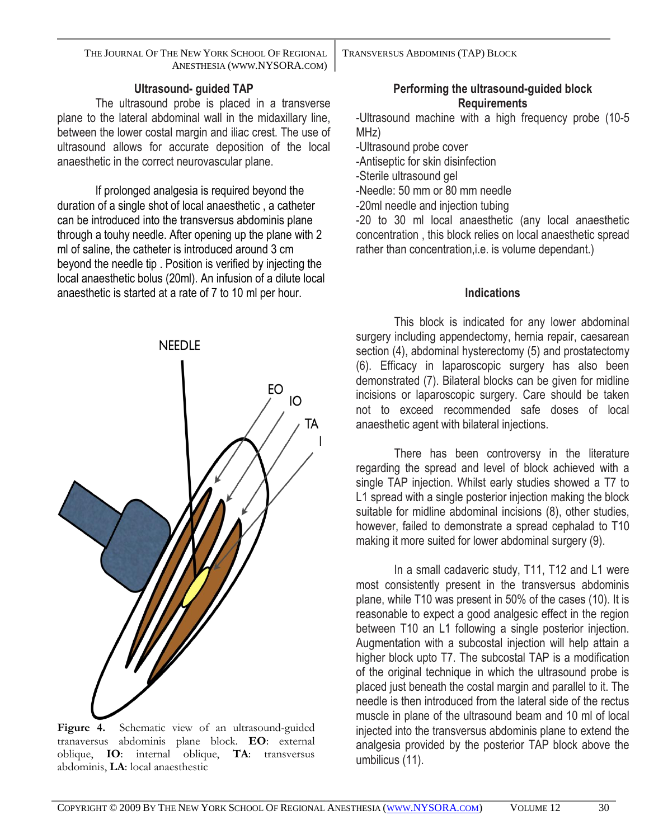THE JOURNAL OF THE NEW YORK SCHOOL OF REGIONAL ANESTHESIA (WWW.NYSORA.COM)

**Ultrasound- guided TAP**

The ultrasound probe is placed in a transverse plane to the lateral abdominal wall in the midaxillary line, between the lower costal margin and iliac crest. The use of ultrasound allows for accurate deposition of the local anaesthetic in the correct neurovascular plane.

If prolonged analgesia is required beyond the duration of a single shot of local anaesthetic , a catheter can be introduced into the transversus abdominis plane through a touhy needle. After opening up the plane with 2 ml of saline, the catheter is introduced around 3 cm beyond the needle tip . Position is verified by injecting the local anaesthetic bolus (20ml). An infusion of a dilute local anaesthetic is started at a rate of 7 to 10 ml per hour.



Figure 4. Schematic view of an ultrasound-guided tranaversus abdominis plane block. **EO**: external oblique, **IO**: internal oblique, **TA**: transversus abdominis, **LA**: local anaesthestic

TRANSVERSUS ABDOMINIS (TAP) BLOCK

# **Performing the ultrasound-guided block Requirements**

-Ultrasound machine with a high frequency probe (10-5 MHz)

-Ultrasound probe cover

-Antiseptic for skin disinfection

-Sterile ultrasound gel

-Needle: 50 mm or 80 mm needle

-20ml needle and injection tubing

-20 to 30 ml local anaesthetic (any local anaesthetic concentration , this block relies on local anaesthetic spread rather than concentration, i.e. is volume dependant.)

# **Indications**

This block is indicated for any lower abdominal surgery including appendectomy, hernia repair, caesarean section (4), abdominal hysterectomy (5) and prostatectomy (6). Efficacy in laparoscopic surgery has also been demonstrated (7). Bilateral blocks can be given for midline incisions or laparoscopic surgery. Care should be taken not to exceed recommended safe doses of local anaesthetic agent with bilateral injections.

There has been controversy in the literature regarding the spread and level of block achieved with a single TAP injection. Whilst early studies showed a T7 to L1 spread with a single posterior injection making the block suitable for midline abdominal incisions (8), other studies, however, failed to demonstrate a spread cephalad to T10 making it more suited for lower abdominal surgery (9).

In a small cadaveric study, T11, T12 and L1 were most consistently present in the transversus abdominis plane, while T10 was present in 50% of the cases (10). It is reasonable to expect a good analgesic effect in the region between T10 an L1 following a single posterior injection. Augmentation with a subcostal injection will help attain a higher block upto T7. The subcostal TAP is a modification of the original technique in which the ultrasound probe is placed just beneath the costal margin and parallel to it. The needle is then introduced from the lateral side of the rectus muscle in plane of the ultrasound beam and 10 ml of local injected into the transversus abdominis plane to extend the analgesia provided by the posterior TAP block above the umbilicus (11).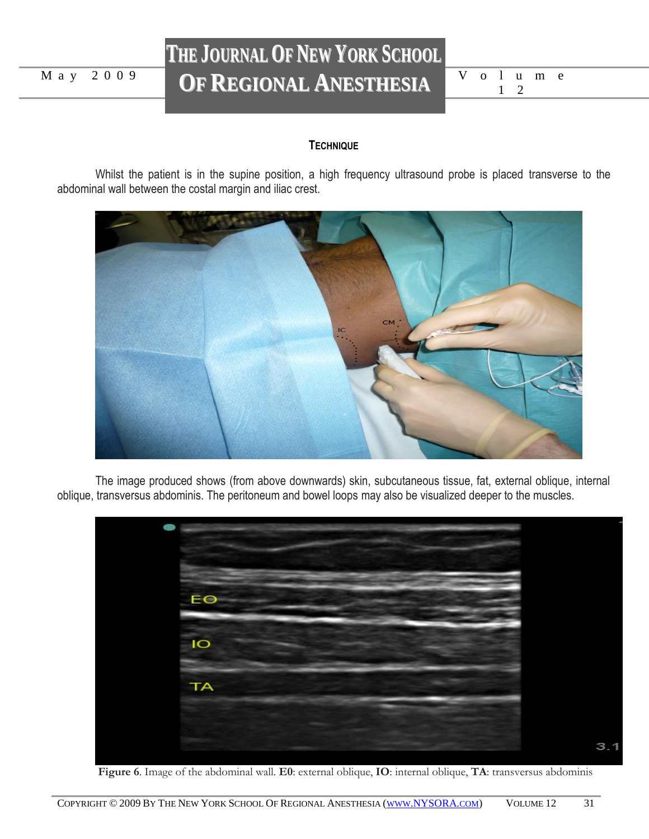# **THE JOURNAL OF NEW YORK SCHOOL OF REGIONAL ANESTHESIA** M a y 2 0 0 9 V o l u m e

|  |                               | √olume |  |
|--|-------------------------------|--------|--|
|  | $\overline{1}$ $\overline{2}$ |        |  |

# **TECHNIQUE**

Whilst the patient is in the supine position, a high frequency ultrasound probe is placed transverse to the abdominal wall between the costal margin and iliac crest.



The image produced shows (from above downwards) skin, subcutaneous tissue, fat, external oblique, internal oblique, transversus abdominis. The peritoneum and bowel loops may also be visualized deeper to the muscles.



 **Figure 6**. Image of the abdominal wall. **E0**: external oblique, **IO**: internal oblique, **TA**: transversus abdominis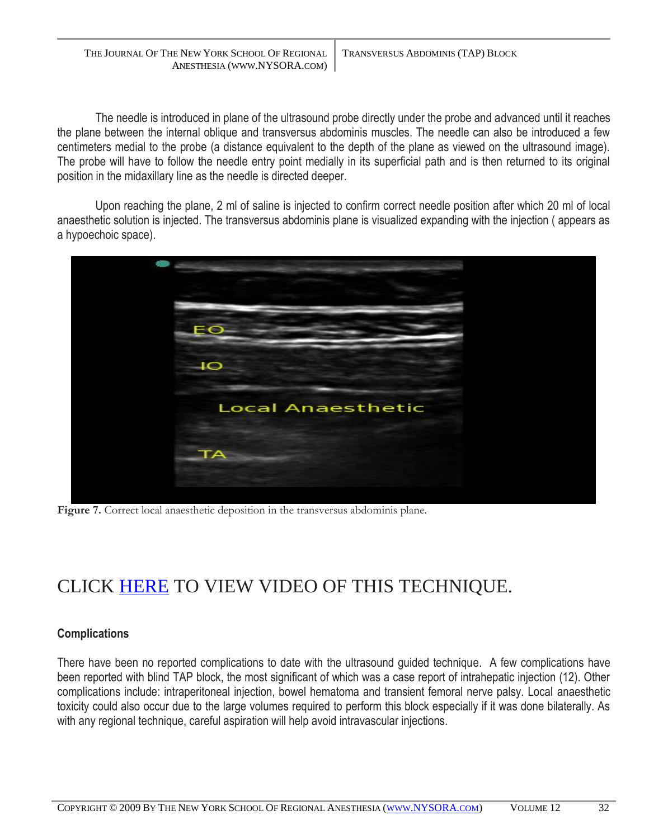THE JOURNAL OF THE NEW YORK SCHOOL OF REGIONAL ANESTHESIA (WWW.NYSORA.COM) TRANSVERSUS ABDOMINIS (TAP) BLOCK

The needle is introduced in plane of the ultrasound probe directly under the probe and advanced until it reaches the plane between the internal oblique and transversus abdominis muscles. The needle can also be introduced a few centimeters medial to the probe (a distance equivalent to the depth of the plane as viewed on the ultrasound image). The probe will have to follow the needle entry point medially in its superficial path and is then returned to its original position in the midaxillary line as the needle is directed deeper.

Upon reaching the plane, 2 ml of saline is injected to confirm correct needle position after which 20 ml of local anaesthetic solution is injected. The transversus abdominis plane is visualized expanding with the injection ( appears as a hypoechoic space).



**Figure 7.** Correct local anaesthetic deposition in the transversus abdominis plane.

# CLICK [HERE](http://www.nysora.com/files/uploaded/JNYSORA/Volume12/tapblock.swf) TO VIEW VIDEO OF THIS TECHNIQUE.

## **Complications**

There have been no reported complications to date with the ultrasound guided technique. A few complications have been reported with blind TAP block, the most significant of which was a case report of intrahepatic injection (12). Other complications include: intraperitoneal injection, bowel hematoma and transient femoral nerve palsy. Local anaesthetic toxicity could also occur due to the large volumes required to perform this block especially if it was done bilaterally. As with any regional technique, careful aspiration will help avoid intravascular injections.